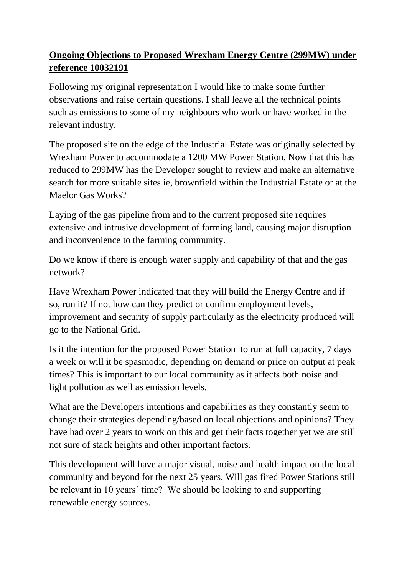## **Ongoing Objections to Proposed Wrexham Energy Centre (299MW) under reference 10032191**

Following my original representation I would like to make some further observations and raise certain questions. I shall leave all the technical points such as emissions to some of my neighbours who work or have worked in the relevant industry.

The proposed site on the edge of the Industrial Estate was originally selected by Wrexham Power to accommodate a 1200 MW Power Station. Now that this has reduced to 299MW has the Developer sought to review and make an alternative search for more suitable sites ie, brownfield within the Industrial Estate or at the Maelor Gas Works?

Laying of the gas pipeline from and to the current proposed site requires extensive and intrusive development of farming land, causing major disruption and inconvenience to the farming community.

Do we know if there is enough water supply and capability of that and the gas network?

Have Wrexham Power indicated that they will build the Energy Centre and if so, run it? If not how can they predict or confirm employment levels, improvement and security of supply particularly as the electricity produced will go to the National Grid.

Is it the intention for the proposed Power Station to run at full capacity, 7 days a week or will it be spasmodic, depending on demand or price on output at peak times? This is important to our local community as it affects both noise and light pollution as well as emission levels.

What are the Developers intentions and capabilities as they constantly seem to change their strategies depending/based on local objections and opinions? They have had over 2 years to work on this and get their facts together yet we are still not sure of stack heights and other important factors.

This development will have a major visual, noise and health impact on the local community and beyond for the next 25 years. Will gas fired Power Stations still be relevant in 10 years' time? We should be looking to and supporting renewable energy sources.